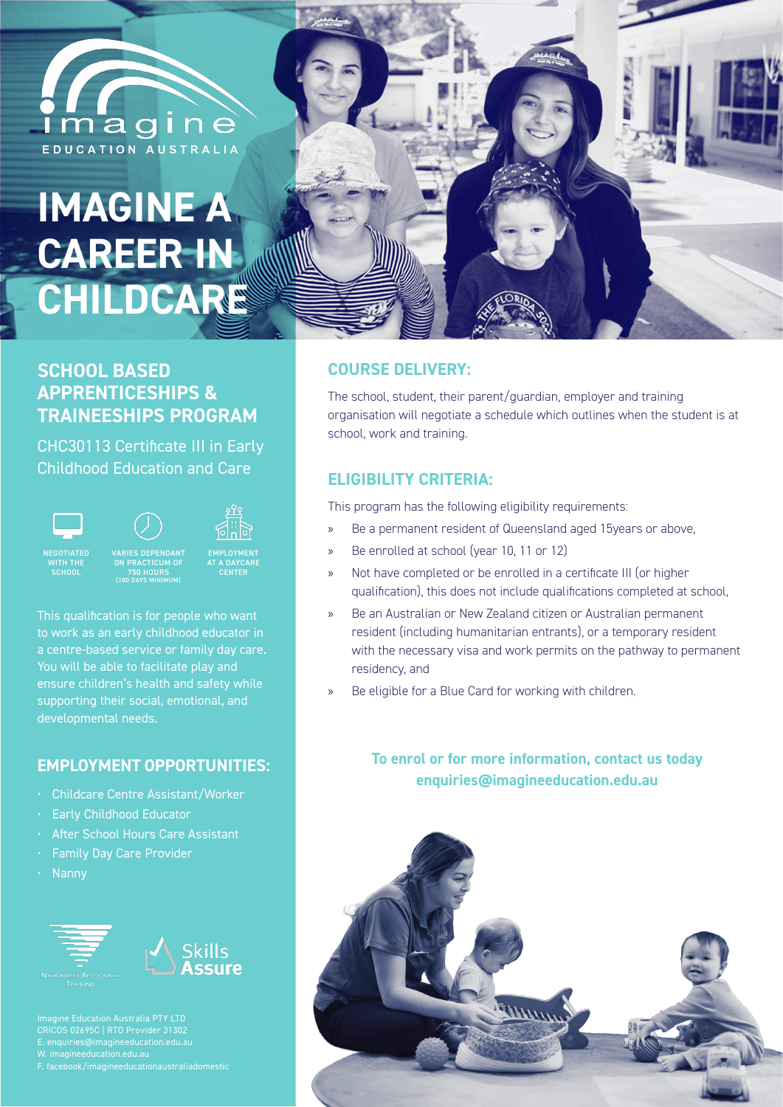

# **IMAGINE A CAREER IN CHILDCARE**

# **SCHOOL BASED APPRENTICESHIPS & TRAINEESHIPS PROGRAM**

CHC30113 Certificate III in Early Childhood Education and Care

> ON PRACTICUM OF 750 HOURS (100 DAYS MINIMUM)





VARIES DEPENDANT



NEGOTIATED WITH THE

EMPLOYMENT AT A DAYCARE CENTER

This qualification is for people who want to work as an early childhood educator in a centre-based service or family day care. You will be able to facilitate play and ensure children's health and safety while supporting their social, emotional, and developmental needs.

# **EMPLOYMENT OPPORTUNITIES:**

- Childcare Centre Assistant/Worker
- Early Childhood Educator
- After School Hours Care Assistant
- Family Day Care Provider
- Nanny





F. facebook/imagineeducationaustraliadomestic



## **COURSE DELIVERY:**

The school, student, their parent/guardian, employer and training organisation will negotiate a schedule which outlines when the student is at school, work and training.

# **ELIGIBILITY CRITERIA:**

This program has the following eligibility requirements:

- » Be a permanent resident of Queensland aged 15years or above,
- » Be enrolled at school (year 10, 11 or 12)
- » Not have completed or be enrolled in a certificate III (or higher qualification), this does not include qualifications completed at school,
- » Be an Australian or New Zealand citizen or Australian permanent resident (including humanitarian entrants), or a temporary resident with the necessary visa and work permits on the pathway to permanent residency, and
- Be eligible for a Blue Card for working with children.

# **To enrol or for more information, contact us today enquiries@imagineeducation.edu.au**